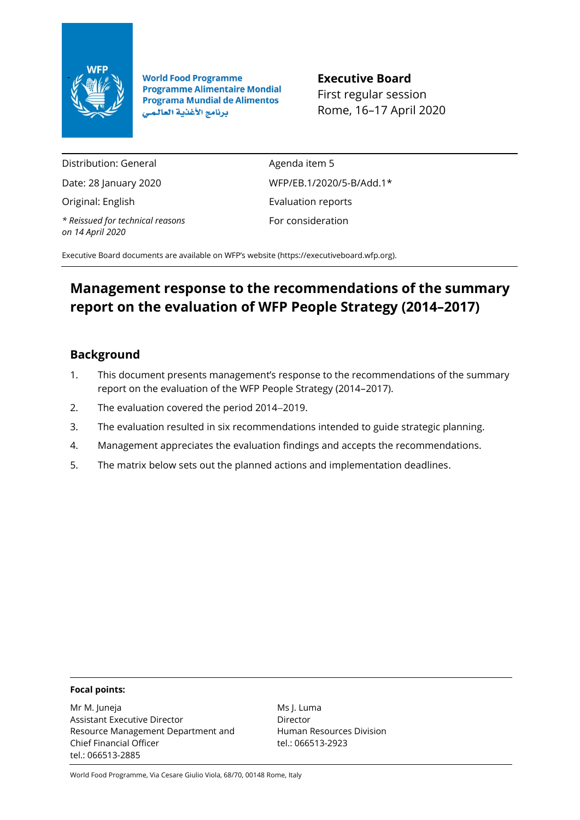

**World Food Programme**<br>**Programme Alimentaire Mondial**<br>Fixet xecules eccei **Programa Mundial de Alimentos** برنامج الأغذية العالمي

First regular session Rome, 16–17 April 2020

Distribution: General

Date: 28 January 2020

Original: English

*\* Reissued for technical reasons on 14 April 2020*

Agenda item 5 WFP/EB.1/2020/5-B/Add.1\* Evaluation reports For consideration

Executive Board documents are available on WFP's website [\(https://executiveboard.wfp.org\)](https://executiveboard.wfp.org/).

# **Management response to the recommendations of the summary report on the evaluation of WFP People Strategy (2014–2017)**

# **Background**

- 1. This document presents management's response to the recommendations of the summary report on the evaluation of the WFP People Strategy (2014–2017).
- 2. The evaluation covered the period 2014−2019.
- 3. The evaluation resulted in six recommendations intended to guide strategic planning.
- 4. Management appreciates the evaluation findings and accepts the recommendations.
- 5. The matrix below sets out the planned actions and implementation deadlines.

# **Focal points:**

Mr M. Juneja Assistant Executive Director Resource Management Department and Chief Financial Officer tel.: 066513-2885

Ms J. Luma Director Human Resources Division tel.: 066513-2923

World Food Programme, Via Cesare Giulio Viola, 68/70, 00148 Rome, Italy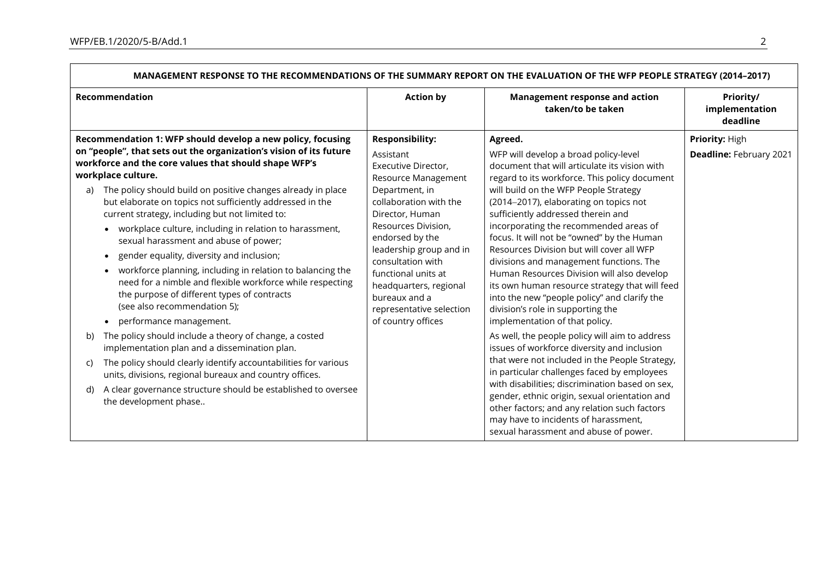|                      | MANAGEMENT KEJFONJE TO THE KECOMMENDATIONJ OF THE JOMMANT KEFONT ON THE EVALOATION OF THE WIFF FLOFEL JTKATEGT (ZV14-ZVT7)                                                                                                                                                                                                                                                                                                                                                                                                                                                                                                                                                                                                                                                                                                                                                                                                                                                                                                                                                                                                                                                    |                                                                                                                                                                                                                                                                                                                                                                |                                                                                                                                                                                                                                                                                                                                                                                                                                                                                                                                                                                                                                                                                                                                                                                                                                                                                                                                                                                                                                                                                                                           |                                           |  |
|----------------------|-------------------------------------------------------------------------------------------------------------------------------------------------------------------------------------------------------------------------------------------------------------------------------------------------------------------------------------------------------------------------------------------------------------------------------------------------------------------------------------------------------------------------------------------------------------------------------------------------------------------------------------------------------------------------------------------------------------------------------------------------------------------------------------------------------------------------------------------------------------------------------------------------------------------------------------------------------------------------------------------------------------------------------------------------------------------------------------------------------------------------------------------------------------------------------|----------------------------------------------------------------------------------------------------------------------------------------------------------------------------------------------------------------------------------------------------------------------------------------------------------------------------------------------------------------|---------------------------------------------------------------------------------------------------------------------------------------------------------------------------------------------------------------------------------------------------------------------------------------------------------------------------------------------------------------------------------------------------------------------------------------------------------------------------------------------------------------------------------------------------------------------------------------------------------------------------------------------------------------------------------------------------------------------------------------------------------------------------------------------------------------------------------------------------------------------------------------------------------------------------------------------------------------------------------------------------------------------------------------------------------------------------------------------------------------------------|-------------------------------------------|--|
|                      | Recommendation                                                                                                                                                                                                                                                                                                                                                                                                                                                                                                                                                                                                                                                                                                                                                                                                                                                                                                                                                                                                                                                                                                                                                                | <b>Action by</b>                                                                                                                                                                                                                                                                                                                                               | <b>Management response and action</b><br>taken/to be taken                                                                                                                                                                                                                                                                                                                                                                                                                                                                                                                                                                                                                                                                                                                                                                                                                                                                                                                                                                                                                                                                | Priority/<br>implementation<br>deadline   |  |
| a)<br>b)<br>C)<br>d) | Recommendation 1: WFP should develop a new policy, focusing<br>on "people", that sets out the organization's vision of its future<br>workforce and the core values that should shape WFP's<br>workplace culture.<br>The policy should build on positive changes already in place<br>but elaborate on topics not sufficiently addressed in the<br>current strategy, including but not limited to:<br>workplace culture, including in relation to harassment,<br>$\bullet$<br>sexual harassment and abuse of power;<br>gender equality, diversity and inclusion;<br>$\bullet$<br>workforce planning, including in relation to balancing the<br>$\bullet$<br>need for a nimble and flexible workforce while respecting<br>the purpose of different types of contracts<br>(see also recommendation 5);<br>performance management.<br>$\bullet$<br>The policy should include a theory of change, a costed<br>implementation plan and a dissemination plan.<br>The policy should clearly identify accountabilities for various<br>units, divisions, regional bureaux and country offices.<br>A clear governance structure should be established to oversee<br>the development phase | <b>Responsibility:</b><br>Assistant<br>Executive Director,<br>Resource Management<br>Department, in<br>collaboration with the<br>Director, Human<br>Resources Division,<br>endorsed by the<br>leadership group and in<br>consultation with<br>functional units at<br>headquarters, regional<br>bureaux and a<br>representative selection<br>of country offices | Agreed.<br>WFP will develop a broad policy-level<br>document that will articulate its vision with<br>regard to its workforce. This policy document<br>will build on the WFP People Strategy<br>(2014-2017), elaborating on topics not<br>sufficiently addressed therein and<br>incorporating the recommended areas of<br>focus. It will not be "owned" by the Human<br>Resources Division but will cover all WFP<br>divisions and management functions. The<br>Human Resources Division will also develop<br>its own human resource strategy that will feed<br>into the new "people policy" and clarify the<br>division's role in supporting the<br>implementation of that policy.<br>As well, the people policy will aim to address<br>issues of workforce diversity and inclusion<br>that were not included in the People Strategy,<br>in particular challenges faced by employees<br>with disabilities; discrimination based on sex,<br>gender, ethnic origin, sexual orientation and<br>other factors; and any relation such factors<br>may have to incidents of harassment,<br>sexual harassment and abuse of power. | Priority: High<br>Deadline: February 2021 |  |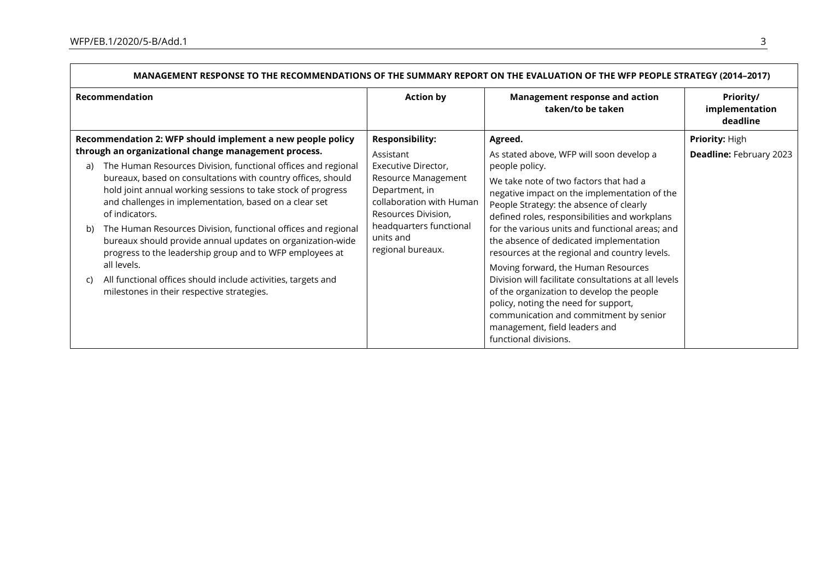|    | <u>MANAGEMENT KESPONSE TO THE RECOMMENDATIONS OF THE SUMMART REPORT ON THE EVALUATION OF THE WFP PEOPLE STRATEGT (2014-2017)</u>                                                                                                                                          |                                                                                                                                                                              |                                                                                                                                                                                                                                               |                                                  |  |
|----|---------------------------------------------------------------------------------------------------------------------------------------------------------------------------------------------------------------------------------------------------------------------------|------------------------------------------------------------------------------------------------------------------------------------------------------------------------------|-----------------------------------------------------------------------------------------------------------------------------------------------------------------------------------------------------------------------------------------------|--------------------------------------------------|--|
|    | Recommendation                                                                                                                                                                                                                                                            | <b>Action by</b>                                                                                                                                                             | <b>Management response and action</b><br>taken/to be taken                                                                                                                                                                                    | Priority/<br>implementation<br>deadline          |  |
|    | Recommendation 2: WFP should implement a new people policy<br>through an organizational change management process.                                                                                                                                                        | <b>Responsibility:</b><br>Assistant                                                                                                                                          | Agreed.<br>As stated above, WFP will soon develop a                                                                                                                                                                                           | Priority: High<br><b>Deadline: February 2023</b> |  |
| a) | The Human Resources Division, functional offices and regional<br>bureaux, based on consultations with country offices, should<br>hold joint annual working sessions to take stock of progress<br>and challenges in implementation, based on a clear set<br>of indicators. | Executive Director,<br>Resource Management<br>Department, in<br>collaboration with Human<br>Resources Division,<br>headquarters functional<br>units and<br>regional bureaux. | people policy.<br>We take note of two factors that had a<br>negative impact on the implementation of the<br>People Strategy: the absence of clearly<br>defined roles, responsibilities and workplans                                          |                                                  |  |
| b) | The Human Resources Division, functional offices and regional<br>bureaux should provide annual updates on organization-wide<br>progress to the leadership group and to WFP employees at<br>all levels.                                                                    |                                                                                                                                                                              | for the various units and functional areas; and<br>the absence of dedicated implementation<br>resources at the regional and country levels.<br>Moving forward, the Human Resources                                                            |                                                  |  |
| C) | All functional offices should include activities, targets and<br>milestones in their respective strategies.                                                                                                                                                               |                                                                                                                                                                              | Division will facilitate consultations at all levels<br>of the organization to develop the people<br>policy, noting the need for support,<br>communication and commitment by senior<br>management, field leaders and<br>functional divisions. |                                                  |  |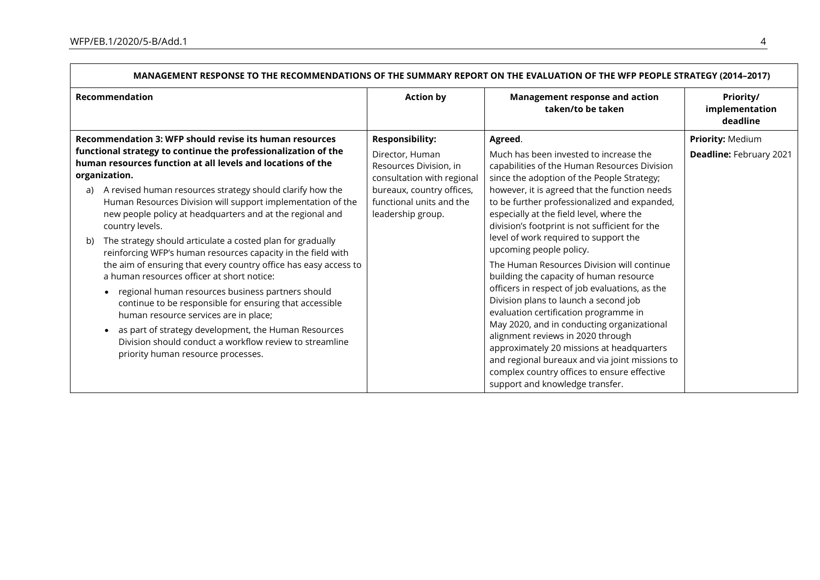| <u>MANAGEMENT RESPONSE TO THE RECOMMENDATIONS OF THE SUMMART REPORT ON THE EVALUATION OF THE WFP PEOPLE STRATEGT (Z014-Z017)</u>                                                                                                                                                                                                                                                                                                                                                                                                                                                                                                                                                                                                                                                                                                                                                                                                                                                                                              |                                                                                                                                                                                 |                                                                                                                                                                                                                                                                                                                                                                                                                                                                                                                                                                                                                                                                                                                                                                                                                                                                                  |                                             |  |
|-------------------------------------------------------------------------------------------------------------------------------------------------------------------------------------------------------------------------------------------------------------------------------------------------------------------------------------------------------------------------------------------------------------------------------------------------------------------------------------------------------------------------------------------------------------------------------------------------------------------------------------------------------------------------------------------------------------------------------------------------------------------------------------------------------------------------------------------------------------------------------------------------------------------------------------------------------------------------------------------------------------------------------|---------------------------------------------------------------------------------------------------------------------------------------------------------------------------------|----------------------------------------------------------------------------------------------------------------------------------------------------------------------------------------------------------------------------------------------------------------------------------------------------------------------------------------------------------------------------------------------------------------------------------------------------------------------------------------------------------------------------------------------------------------------------------------------------------------------------------------------------------------------------------------------------------------------------------------------------------------------------------------------------------------------------------------------------------------------------------|---------------------------------------------|--|
| <b>Recommendation</b>                                                                                                                                                                                                                                                                                                                                                                                                                                                                                                                                                                                                                                                                                                                                                                                                                                                                                                                                                                                                         | <b>Action by</b>                                                                                                                                                                | <b>Management response and action</b><br>taken/to be taken                                                                                                                                                                                                                                                                                                                                                                                                                                                                                                                                                                                                                                                                                                                                                                                                                       | Priority/<br>implementation<br>deadline     |  |
| Recommendation 3: WFP should revise its human resources<br>functional strategy to continue the professionalization of the<br>human resources function at all levels and locations of the<br>organization.<br>A revised human resources strategy should clarify how the<br>a)<br>Human Resources Division will support implementation of the<br>new people policy at headquarters and at the regional and<br>country levels.<br>The strategy should articulate a costed plan for gradually<br>b)<br>reinforcing WFP's human resources capacity in the field with<br>the aim of ensuring that every country office has easy access to<br>a human resources officer at short notice:<br>regional human resources business partners should<br>$\bullet$<br>continue to be responsible for ensuring that accessible<br>human resource services are in place;<br>as part of strategy development, the Human Resources<br>$\bullet$<br>Division should conduct a workflow review to streamline<br>priority human resource processes. | <b>Responsibility:</b><br>Director, Human<br>Resources Division, in<br>consultation with regional<br>bureaux, country offices,<br>functional units and the<br>leadership group. | Agreed.<br>Much has been invested to increase the<br>capabilities of the Human Resources Division<br>since the adoption of the People Strategy;<br>however, it is agreed that the function needs<br>to be further professionalized and expanded,<br>especially at the field level, where the<br>division's footprint is not sufficient for the<br>level of work required to support the<br>upcoming people policy.<br>The Human Resources Division will continue<br>building the capacity of human resource<br>officers in respect of job evaluations, as the<br>Division plans to launch a second job<br>evaluation certification programme in<br>May 2020, and in conducting organizational<br>alignment reviews in 2020 through<br>approximately 20 missions at headquarters<br>and regional bureaux and via joint missions to<br>complex country offices to ensure effective | Priority: Medium<br>Deadline: February 2021 |  |
|                                                                                                                                                                                                                                                                                                                                                                                                                                                                                                                                                                                                                                                                                                                                                                                                                                                                                                                                                                                                                               |                                                                                                                                                                                 | support and knowledge transfer.                                                                                                                                                                                                                                                                                                                                                                                                                                                                                                                                                                                                                                                                                                                                                                                                                                                  |                                             |  |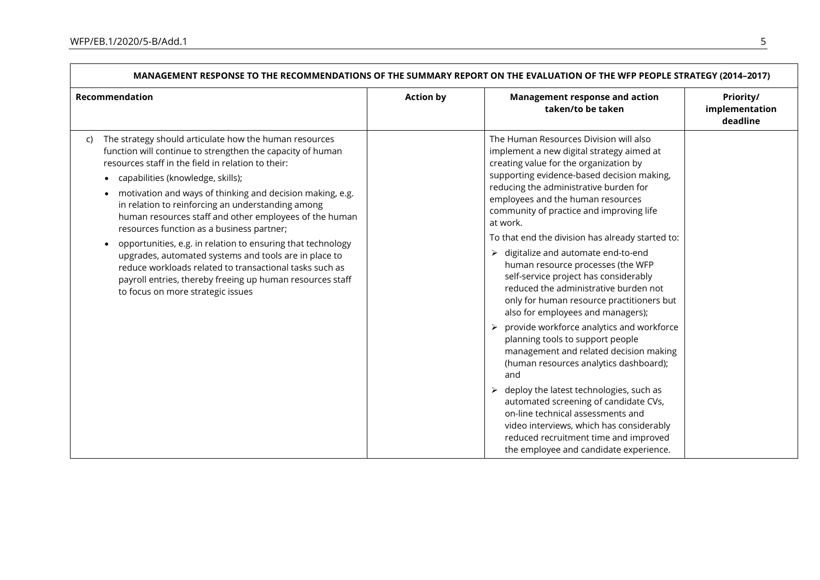| Recommendation                                                                                                                                                                                                                                                                                                                                                                                                                                                                                                                                                                                                                                                                                                                      | <b>Action by</b> | <b>Management response and action</b><br>taken/to be taken                                                                                                                                                                                                                                                                                                                                                                                                                                                                                                                                                                                                                                                                                                                                                                                                                                                                                                                                                                                                                                          | Priority/<br>implementation<br>deadline |
|-------------------------------------------------------------------------------------------------------------------------------------------------------------------------------------------------------------------------------------------------------------------------------------------------------------------------------------------------------------------------------------------------------------------------------------------------------------------------------------------------------------------------------------------------------------------------------------------------------------------------------------------------------------------------------------------------------------------------------------|------------------|-----------------------------------------------------------------------------------------------------------------------------------------------------------------------------------------------------------------------------------------------------------------------------------------------------------------------------------------------------------------------------------------------------------------------------------------------------------------------------------------------------------------------------------------------------------------------------------------------------------------------------------------------------------------------------------------------------------------------------------------------------------------------------------------------------------------------------------------------------------------------------------------------------------------------------------------------------------------------------------------------------------------------------------------------------------------------------------------------------|-----------------------------------------|
| The strategy should articulate how the human resources<br>C)<br>function will continue to strengthen the capacity of human<br>resources staff in the field in relation to their:<br>capabilities (knowledge, skills);<br>motivation and ways of thinking and decision making, e.g.<br>in relation to reinforcing an understanding among<br>human resources staff and other employees of the human<br>resources function as a business partner;<br>opportunities, e.g. in relation to ensuring that technology<br>upgrades, automated systems and tools are in place to<br>reduce workloads related to transactional tasks such as<br>payroll entries, thereby freeing up human resources staff<br>to focus on more strategic issues |                  | The Human Resources Division will also<br>implement a new digital strategy aimed at<br>creating value for the organization by<br>supporting evidence-based decision making,<br>reducing the administrative burden for<br>employees and the human resources<br>community of practice and improving life<br>at work.<br>To that end the division has already started to:<br>$\triangleright$ digitalize and automate end-to-end<br>human resource processes (the WFP<br>self-service project has considerably<br>reduced the administrative burden not<br>only for human resource practitioners but<br>also for employees and managers);<br>provide workforce analytics and workforce<br>planning tools to support people<br>management and related decision making<br>(human resources analytics dashboard);<br>and<br>deploy the latest technologies, such as<br>$\blacktriangleright$<br>automated screening of candidate CVs,<br>on-line technical assessments and<br>video interviews, which has considerably<br>reduced recruitment time and improved<br>the employee and candidate experience. |                                         |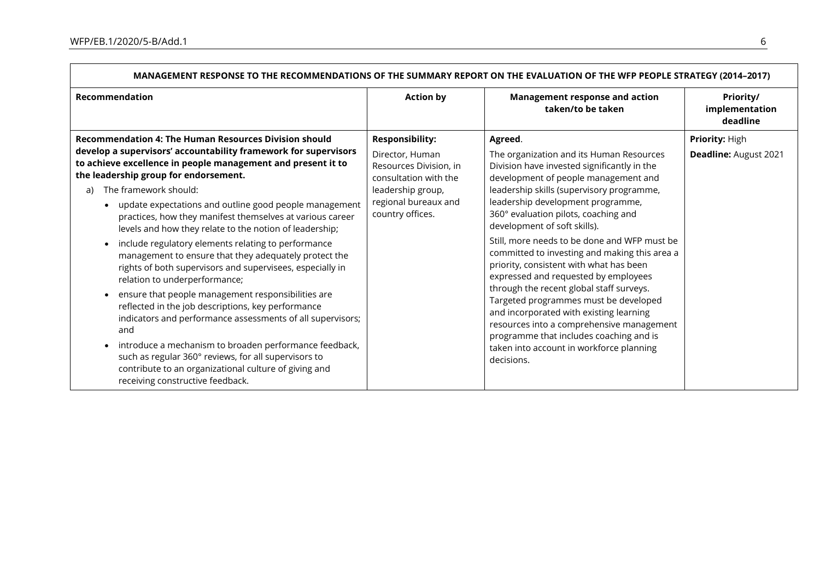| <u>INNIVADEMENT NEST UNSETUTITE NECUMINIENDATIONS OF THE SUMINANT NEFUNT UN THE EVALUATION OF THE WIFF FEUFEL STIMITEDT (ZUT4-ZUT7)</u>                                                                                                                                                                                                                                                                                                                                                                                                                                                                                                                                                                                                                                                                                                                                                                                                                                                                                                                                 |                                                                                                                                                               |                                                                                                                                                                                                                                                                                                                                                                                                                                                                                                                                                                                                                                                                                                                                                                            |                                         |  |
|-------------------------------------------------------------------------------------------------------------------------------------------------------------------------------------------------------------------------------------------------------------------------------------------------------------------------------------------------------------------------------------------------------------------------------------------------------------------------------------------------------------------------------------------------------------------------------------------------------------------------------------------------------------------------------------------------------------------------------------------------------------------------------------------------------------------------------------------------------------------------------------------------------------------------------------------------------------------------------------------------------------------------------------------------------------------------|---------------------------------------------------------------------------------------------------------------------------------------------------------------|----------------------------------------------------------------------------------------------------------------------------------------------------------------------------------------------------------------------------------------------------------------------------------------------------------------------------------------------------------------------------------------------------------------------------------------------------------------------------------------------------------------------------------------------------------------------------------------------------------------------------------------------------------------------------------------------------------------------------------------------------------------------------|-----------------------------------------|--|
| Recommendation                                                                                                                                                                                                                                                                                                                                                                                                                                                                                                                                                                                                                                                                                                                                                                                                                                                                                                                                                                                                                                                          | <b>Action by</b>                                                                                                                                              | <b>Management response and action</b><br>taken/to be taken                                                                                                                                                                                                                                                                                                                                                                                                                                                                                                                                                                                                                                                                                                                 | Priority/<br>implementation<br>deadline |  |
| <b>Recommendation 4: The Human Resources Division should</b><br>develop a supervisors' accountability framework for supervisors<br>to achieve excellence in people management and present it to<br>the leadership group for endorsement.<br>The framework should:<br>a)<br>update expectations and outline good people management<br>practices, how they manifest themselves at various career<br>levels and how they relate to the notion of leadership;<br>include regulatory elements relating to performance<br>management to ensure that they adequately protect the<br>rights of both supervisors and supervisees, especially in<br>relation to underperformance;<br>ensure that people management responsibilities are<br>reflected in the job descriptions, key performance<br>indicators and performance assessments of all supervisors;<br>and<br>introduce a mechanism to broaden performance feedback,<br>such as regular 360° reviews, for all supervisors to<br>contribute to an organizational culture of giving and<br>receiving constructive feedback. | <b>Responsibility:</b><br>Director, Human<br>Resources Division, in<br>consultation with the<br>leadership group,<br>regional bureaux and<br>country offices. | Agreed.<br>The organization and its Human Resources<br>Division have invested significantly in the<br>development of people management and<br>leadership skills (supervisory programme,<br>leadership development programme,<br>360° evaluation pilots, coaching and<br>development of soft skills).<br>Still, more needs to be done and WFP must be<br>committed to investing and making this area a<br>priority, consistent with what has been<br>expressed and requested by employees<br>through the recent global staff surveys.<br>Targeted programmes must be developed<br>and incorporated with existing learning<br>resources into a comprehensive management<br>programme that includes coaching and is<br>taken into account in workforce planning<br>decisions. | Priority: High<br>Deadline: August 2021 |  |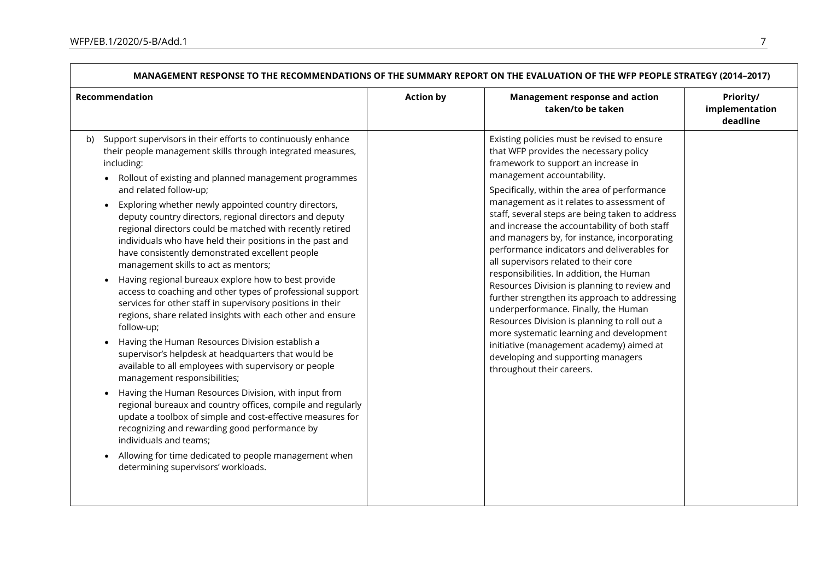|                                                                                                                                                                                                                                                                                                                                                                                                                                                                                                                                                                                                                                                                                                                                                                                                                                                                                                                                                                                                                                                                                                                                                                                                                                                                                                                                                                                                              |                  | INILIVIATIONS OF THE SUMMANT NET ON TON THE EVALUATION OF THE WITH LOT LE SHATED I (2017-2017)                                                                                                                                                                                                                                                                                                                                                                                                                                                                                                                                                                                                                                                                                                                                                                                                      |                                         |  |  |  |
|--------------------------------------------------------------------------------------------------------------------------------------------------------------------------------------------------------------------------------------------------------------------------------------------------------------------------------------------------------------------------------------------------------------------------------------------------------------------------------------------------------------------------------------------------------------------------------------------------------------------------------------------------------------------------------------------------------------------------------------------------------------------------------------------------------------------------------------------------------------------------------------------------------------------------------------------------------------------------------------------------------------------------------------------------------------------------------------------------------------------------------------------------------------------------------------------------------------------------------------------------------------------------------------------------------------------------------------------------------------------------------------------------------------|------------------|-----------------------------------------------------------------------------------------------------------------------------------------------------------------------------------------------------------------------------------------------------------------------------------------------------------------------------------------------------------------------------------------------------------------------------------------------------------------------------------------------------------------------------------------------------------------------------------------------------------------------------------------------------------------------------------------------------------------------------------------------------------------------------------------------------------------------------------------------------------------------------------------------------|-----------------------------------------|--|--|--|
| Recommendation                                                                                                                                                                                                                                                                                                                                                                                                                                                                                                                                                                                                                                                                                                                                                                                                                                                                                                                                                                                                                                                                                                                                                                                                                                                                                                                                                                                               | <b>Action by</b> | <b>Management response and action</b><br>taken/to be taken                                                                                                                                                                                                                                                                                                                                                                                                                                                                                                                                                                                                                                                                                                                                                                                                                                          | Priority/<br>implementation<br>deadline |  |  |  |
| Support supervisors in their efforts to continuously enhance<br>b)<br>their people management skills through integrated measures,<br>including:<br>Rollout of existing and planned management programmes<br>and related follow-up;<br>Exploring whether newly appointed country directors,<br>deputy country directors, regional directors and deputy<br>regional directors could be matched with recently retired<br>individuals who have held their positions in the past and<br>have consistently demonstrated excellent people<br>management skills to act as mentors;<br>Having regional bureaux explore how to best provide<br>access to coaching and other types of professional support<br>services for other staff in supervisory positions in their<br>regions, share related insights with each other and ensure<br>follow-up;<br>Having the Human Resources Division establish a<br>supervisor's helpdesk at headquarters that would be<br>available to all employees with supervisory or people<br>management responsibilities;<br>Having the Human Resources Division, with input from<br>regional bureaux and country offices, compile and regularly<br>update a toolbox of simple and cost-effective measures for<br>recognizing and rewarding good performance by<br>individuals and teams;<br>Allowing for time dedicated to people management when<br>determining supervisors' workloads. |                  | Existing policies must be revised to ensure<br>that WFP provides the necessary policy<br>framework to support an increase in<br>management accountability.<br>Specifically, within the area of performance<br>management as it relates to assessment of<br>staff, several steps are being taken to address<br>and increase the accountability of both staff<br>and managers by, for instance, incorporating<br>performance indicators and deliverables for<br>all supervisors related to their core<br>responsibilities. In addition, the Human<br>Resources Division is planning to review and<br>further strengthen its approach to addressing<br>underperformance. Finally, the Human<br>Resources Division is planning to roll out a<br>more systematic learning and development<br>initiative (management academy) aimed at<br>developing and supporting managers<br>throughout their careers. |                                         |  |  |  |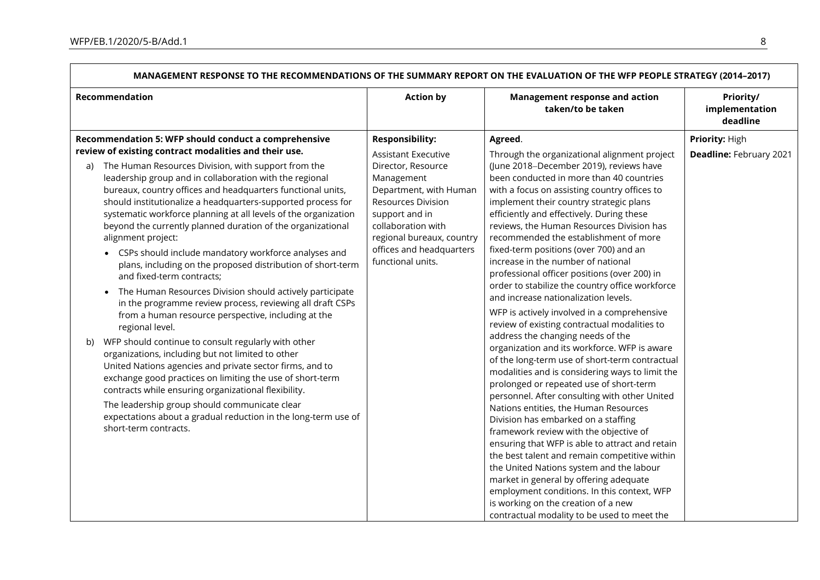| <u>MANAGEMENT RESPUNSE TO THE RECOMMENDATIONS OF THE SUMMART REPORT ON THE EVALUATION OF THE WFP PEOPLE STRATEGT (2014–2017)</u>                                                                                                                                                                                                                                                                                                                                                                                                                                                                                                                                                                                                                                                                                                                                                                                                                                                                                                                                                                                                                                                                                                                                                        |                                                                                                                                                                                                                                             |                                                                                                                                                                                                                                                                                                                                                                                                                                                                                                                                                                                                                                                                                                                                                                                                                                                                                                                                                                                                                                                                                                                                                                                                                                                                                                                                                      |                                                |  |
|-----------------------------------------------------------------------------------------------------------------------------------------------------------------------------------------------------------------------------------------------------------------------------------------------------------------------------------------------------------------------------------------------------------------------------------------------------------------------------------------------------------------------------------------------------------------------------------------------------------------------------------------------------------------------------------------------------------------------------------------------------------------------------------------------------------------------------------------------------------------------------------------------------------------------------------------------------------------------------------------------------------------------------------------------------------------------------------------------------------------------------------------------------------------------------------------------------------------------------------------------------------------------------------------|---------------------------------------------------------------------------------------------------------------------------------------------------------------------------------------------------------------------------------------------|------------------------------------------------------------------------------------------------------------------------------------------------------------------------------------------------------------------------------------------------------------------------------------------------------------------------------------------------------------------------------------------------------------------------------------------------------------------------------------------------------------------------------------------------------------------------------------------------------------------------------------------------------------------------------------------------------------------------------------------------------------------------------------------------------------------------------------------------------------------------------------------------------------------------------------------------------------------------------------------------------------------------------------------------------------------------------------------------------------------------------------------------------------------------------------------------------------------------------------------------------------------------------------------------------------------------------------------------------|------------------------------------------------|--|
| Recommendation                                                                                                                                                                                                                                                                                                                                                                                                                                                                                                                                                                                                                                                                                                                                                                                                                                                                                                                                                                                                                                                                                                                                                                                                                                                                          | <b>Action by</b>                                                                                                                                                                                                                            | <b>Management response and action</b><br>taken/to be taken                                                                                                                                                                                                                                                                                                                                                                                                                                                                                                                                                                                                                                                                                                                                                                                                                                                                                                                                                                                                                                                                                                                                                                                                                                                                                           | <b>Priority/</b><br>implementation<br>deadline |  |
| Recommendation 5: WFP should conduct a comprehensive                                                                                                                                                                                                                                                                                                                                                                                                                                                                                                                                                                                                                                                                                                                                                                                                                                                                                                                                                                                                                                                                                                                                                                                                                                    | <b>Responsibility:</b>                                                                                                                                                                                                                      | Agreed.                                                                                                                                                                                                                                                                                                                                                                                                                                                                                                                                                                                                                                                                                                                                                                                                                                                                                                                                                                                                                                                                                                                                                                                                                                                                                                                                              | Priority: High                                 |  |
| review of existing contract modalities and their use.<br>The Human Resources Division, with support from the<br>a)<br>leadership group and in collaboration with the regional<br>bureaux, country offices and headquarters functional units,<br>should institutionalize a headquarters-supported process for<br>systematic workforce planning at all levels of the organization<br>beyond the currently planned duration of the organizational<br>alignment project:<br>CSPs should include mandatory workforce analyses and<br>$\bullet$<br>plans, including on the proposed distribution of short-term<br>and fixed-term contracts;<br>The Human Resources Division should actively participate<br>in the programme review process, reviewing all draft CSPs<br>from a human resource perspective, including at the<br>regional level.<br>WFP should continue to consult regularly with other<br>b)<br>organizations, including but not limited to other<br>United Nations agencies and private sector firms, and to<br>exchange good practices on limiting the use of short-term<br>contracts while ensuring organizational flexibility.<br>The leadership group should communicate clear<br>expectations about a gradual reduction in the long-term use of<br>short-term contracts. | <b>Assistant Executive</b><br>Director, Resource<br>Management<br>Department, with Human<br><b>Resources Division</b><br>support and in<br>collaboration with<br>regional bureaux, country<br>offices and headquarters<br>functional units. | Through the organizational alignment project<br>(June 2018-December 2019), reviews have<br>been conducted in more than 40 countries<br>with a focus on assisting country offices to<br>implement their country strategic plans<br>efficiently and effectively. During these<br>reviews, the Human Resources Division has<br>recommended the establishment of more<br>fixed-term positions (over 700) and an<br>increase in the number of national<br>professional officer positions (over 200) in<br>order to stabilize the country office workforce<br>and increase nationalization levels.<br>WFP is actively involved in a comprehensive<br>review of existing contractual modalities to<br>address the changing needs of the<br>organization and its workforce. WFP is aware<br>of the long-term use of short-term contractual<br>modalities and is considering ways to limit the<br>prolonged or repeated use of short-term<br>personnel. After consulting with other United<br>Nations entities, the Human Resources<br>Division has embarked on a staffing<br>framework review with the objective of<br>ensuring that WFP is able to attract and retain<br>the best talent and remain competitive within<br>the United Nations system and the labour<br>market in general by offering adequate<br>employment conditions. In this context, WFP | Deadline: February 2021                        |  |
|                                                                                                                                                                                                                                                                                                                                                                                                                                                                                                                                                                                                                                                                                                                                                                                                                                                                                                                                                                                                                                                                                                                                                                                                                                                                                         |                                                                                                                                                                                                                                             | is working on the creation of a new<br>contractual modality to be used to meet the                                                                                                                                                                                                                                                                                                                                                                                                                                                                                                                                                                                                                                                                                                                                                                                                                                                                                                                                                                                                                                                                                                                                                                                                                                                                   |                                                |  |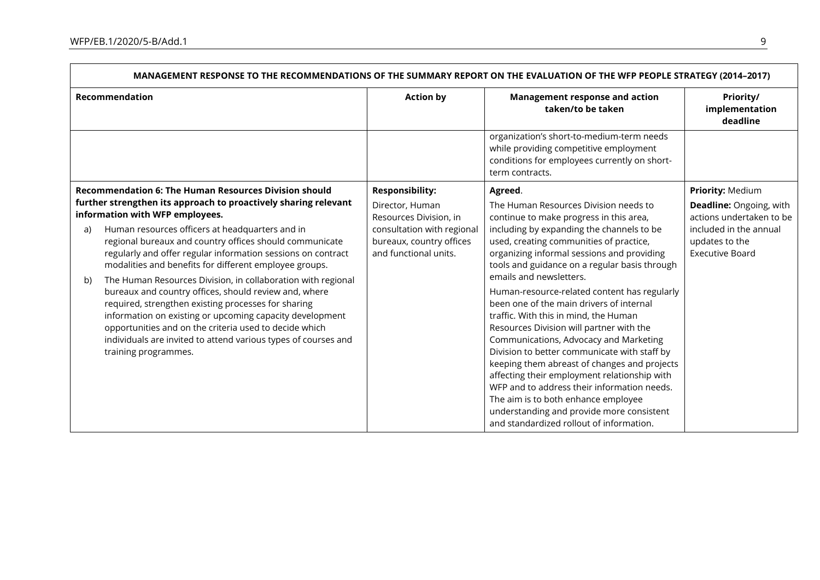$\Gamma$ 

| MANAGEMENT RESPONSE TO THE RECOMMENDATIONS OF THE SUMMARY REPORT ON THE EVALUATION OF THE WFP PEOPLE STRATEGY (2014-2017)       |                                                                                                                                                                                                                                                                                                                                         |                                                                                                           |                                                                                                                                                                                                                                                                                                                                                                                                                                                                                                                                                        |                                                                                                |
|---------------------------------------------------------------------------------------------------------------------------------|-----------------------------------------------------------------------------------------------------------------------------------------------------------------------------------------------------------------------------------------------------------------------------------------------------------------------------------------|-----------------------------------------------------------------------------------------------------------|--------------------------------------------------------------------------------------------------------------------------------------------------------------------------------------------------------------------------------------------------------------------------------------------------------------------------------------------------------------------------------------------------------------------------------------------------------------------------------------------------------------------------------------------------------|------------------------------------------------------------------------------------------------|
| Recommendation                                                                                                                  |                                                                                                                                                                                                                                                                                                                                         | <b>Action by</b>                                                                                          | <b>Management response and action</b><br>taken/to be taken                                                                                                                                                                                                                                                                                                                                                                                                                                                                                             | Priority/<br>implementation<br>deadline                                                        |
|                                                                                                                                 |                                                                                                                                                                                                                                                                                                                                         |                                                                                                           | organization's short-to-medium-term needs<br>while providing competitive employment<br>conditions for employees currently on short-<br>term contracts.                                                                                                                                                                                                                                                                                                                                                                                                 |                                                                                                |
| <b>Recommendation 6: The Human Resources Division should</b><br>further strengthen its approach to proactively sharing relevant |                                                                                                                                                                                                                                                                                                                                         | <b>Responsibility:</b><br>Director, Human                                                                 | Agreed.<br>The Human Resources Division needs to                                                                                                                                                                                                                                                                                                                                                                                                                                                                                                       | Priority: Medium<br><b>Deadline: Ongoing, with</b>                                             |
| a)<br>b)                                                                                                                        | information with WFP employees.<br>Human resources officers at headquarters and in<br>regional bureaux and country offices should communicate<br>regularly and offer regular information sessions on contract<br>modalities and benefits for different employee groups.<br>The Human Resources Division, in collaboration with regional | Resources Division, in<br>consultation with regional<br>bureaux, country offices<br>and functional units. | continue to make progress in this area,<br>including by expanding the channels to be<br>used, creating communities of practice,<br>organizing informal sessions and providing<br>tools and guidance on a regular basis through<br>emails and newsletters.                                                                                                                                                                                                                                                                                              | actions undertaken to be<br>included in the annual<br>updates to the<br><b>Executive Board</b> |
|                                                                                                                                 | bureaux and country offices, should review and, where<br>required, strengthen existing processes for sharing<br>information on existing or upcoming capacity development<br>opportunities and on the criteria used to decide which<br>individuals are invited to attend various types of courses and<br>training programmes.            |                                                                                                           | Human-resource-related content has regularly<br>been one of the main drivers of internal<br>traffic. With this in mind, the Human<br>Resources Division will partner with the<br>Communications, Advocacy and Marketing<br>Division to better communicate with staff by<br>keeping them abreast of changes and projects<br>affecting their employment relationship with<br>WFP and to address their information needs.<br>The aim is to both enhance employee<br>understanding and provide more consistent<br>and standardized rollout of information. |                                                                                                |

ᄀ